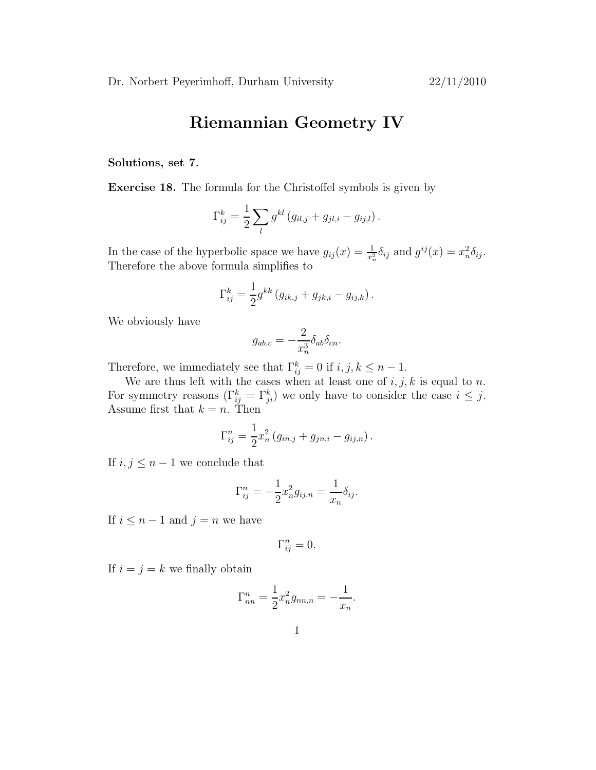## Riemannian Geometry IV

## Solutions, set 7.

Exercise 18. The formula for the Christoffel symbols is given by

$$
\Gamma_{ij}^k = \frac{1}{2} \sum_l g^{kl} (g_{il,j} + g_{jl,i} - g_{ij,l}).
$$

In the case of the hyperbolic space we have  $g_{ij}(x) = \frac{1}{x_n^2} \delta_{ij}$  and  $g^{ij}(x) = x_n^2$  $_{n}^{2}\delta _{ij}.$ Therefore the above formula simplifies to

$$
\Gamma_{ij}^k = \frac{1}{2} g^{kk} (g_{ik,j} + g_{jk,i} - g_{ij,k}).
$$

We obviously have

$$
g_{ab,c} = -\frac{2}{x_n^3} \delta_{ab} \delta_{cn}.
$$

Therefore, we immediately see that  $\Gamma_{ij}^k = 0$  if  $i, j, k \leq n - 1$ .

We are thus left with the cases when at least one of  $i, j, k$  is equal to n. For symmetry reasons  $(\Gamma_{ij}^k = \Gamma_{ji}^k)$  we only have to consider the case  $i \leq j$ . Assume first that  $k = n$ . Then

$$
\Gamma_{ij}^{n} = \frac{1}{2} x_n^2 (g_{in,j} + g_{jn,i} - g_{ij,n}).
$$

If  $i, j \leq n-1$  we conclude that

$$
\Gamma_{ij}^n = -\frac{1}{2}x_n^2 g_{ij,n} = \frac{1}{x_n} \delta_{ij}.
$$

If  $i \leq n-1$  and  $j = n$  we have

$$
\Gamma_{ij}^n = 0.
$$

If  $i = j = k$  we finally obtain

$$
\Gamma_{nn}^{n} = \frac{1}{2} x_n^2 g_{nn,n} = -\frac{1}{x_n}.
$$